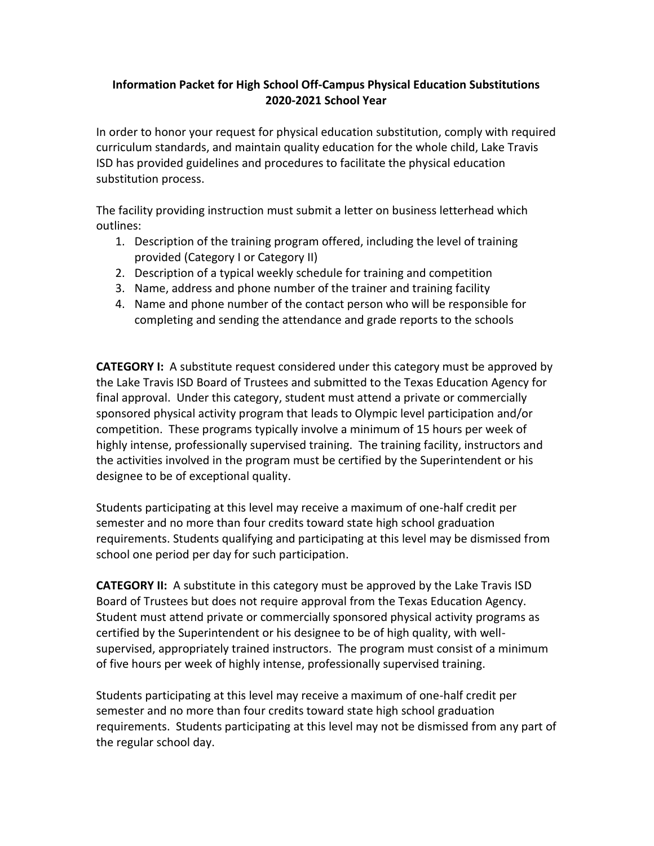## **Information Packet for High School Off-Campus Physical Education Substitutions 2020-2021 School Year**

In order to honor your request for physical education substitution, comply with required curriculum standards, and maintain quality education for the whole child, Lake Travis ISD has provided guidelines and procedures to facilitate the physical education substitution process.

The facility providing instruction must submit a letter on business letterhead which outlines:

- 1. Description of the training program offered, including the level of training provided (Category I or Category II)
- 2. Description of a typical weekly schedule for training and competition
- 3. Name, address and phone number of the trainer and training facility
- 4. Name and phone number of the contact person who will be responsible for completing and sending the attendance and grade reports to the schools

**CATEGORY I:** A substitute request considered under this category must be approved by the Lake Travis ISD Board of Trustees and submitted to the Texas Education Agency for final approval. Under this category, student must attend a private or commercially sponsored physical activity program that leads to Olympic level participation and/or competition. These programs typically involve a minimum of 15 hours per week of highly intense, professionally supervised training. The training facility, instructors and the activities involved in the program must be certified by the Superintendent or his designee to be of exceptional quality.

Students participating at this level may receive a maximum of one-half credit per semester and no more than four credits toward state high school graduation requirements. Students qualifying and participating at this level may be dismissed from school one period per day for such participation.

**CATEGORY II:** A substitute in this category must be approved by the Lake Travis ISD Board of Trustees but does not require approval from the Texas Education Agency. Student must attend private or commercially sponsored physical activity programs as certified by the Superintendent or his designee to be of high quality, with wellsupervised, appropriately trained instructors. The program must consist of a minimum of five hours per week of highly intense, professionally supervised training.

Students participating at this level may receive a maximum of one-half credit per semester and no more than four credits toward state high school graduation requirements. Students participating at this level may not be dismissed from any part of the regular school day.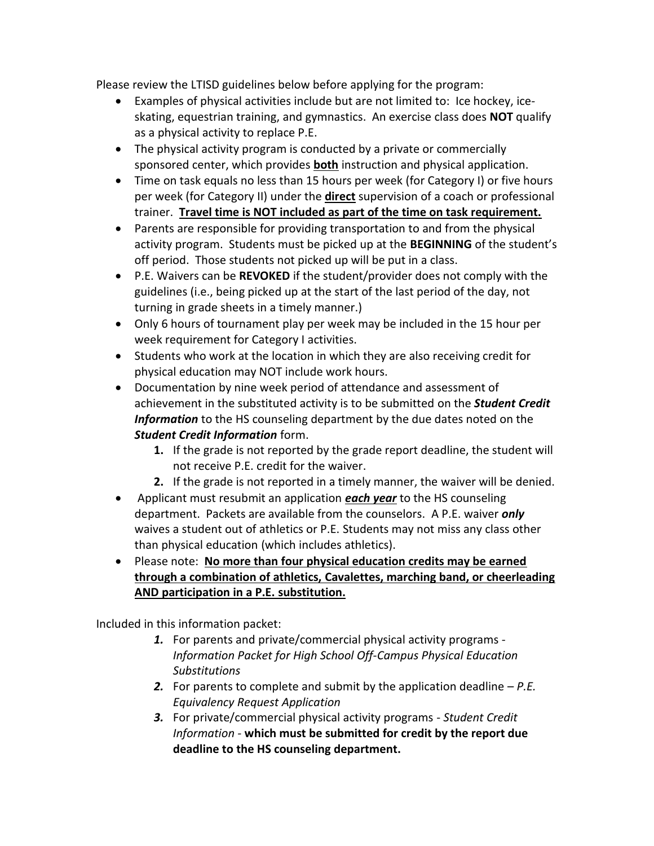Please review the LTISD guidelines below before applying for the program:

- Examples of physical activities include but are not limited to: Ice hockey, iceskating, equestrian training, and gymnastics. An exercise class does **NOT** qualify as a physical activity to replace P.E.
- The physical activity program is conducted by a private or commercially sponsored center, which provides **both** instruction and physical application.
- Time on task equals no less than 15 hours per week (for Category I) or five hours per week (for Category II) under the **direct** supervision of a coach or professional trainer. **Travel time is NOT included as part of the time on task requirement.**
- Parents are responsible for providing transportation to and from the physical activity program. Students must be picked up at the **BEGINNING** of the student's off period. Those students not picked up will be put in a class.
- P.E. Waivers can be **REVOKED** if the student/provider does not comply with the guidelines (i.e., being picked up at the start of the last period of the day, not turning in grade sheets in a timely manner.)
- Only 6 hours of tournament play per week may be included in the 15 hour per week requirement for Category I activities.
- Students who work at the location in which they are also receiving credit for physical education may NOT include work hours.
- Documentation by nine week period of attendance and assessment of achievement in the substituted activity is to be submitted on the *Student Credit Information* to the HS counseling department by the due dates noted on the *Student Credit Information* form.
	- **1.** If the grade is not reported by the grade report deadline, the student will not receive P.E. credit for the waiver.
	- **2.** If the grade is not reported in a timely manner, the waiver will be denied.
- Applicant must resubmit an application *each year* to the HS counseling department. Packets are available from the counselors. A P.E. waiver *only* waives a student out of athletics or P.E. Students may not miss any class other than physical education (which includes athletics).
- Please note: **No more than four physical education credits may be earned through a combination of athletics, Cavalettes, marching band, or cheerleading AND participation in a P.E. substitution.**

Included in this information packet:

- *1.* For parents and private/commercial physical activity programs *Information Packet for High School Off-Campus Physical Education Substitutions*
- *2.* For parents to complete and submit by the application deadline *P.E. Equivalency Request Application*
- *3.* For private/commercial physical activity programs *Student Credit Information -* **which must be submitted for credit by the report due deadline to the HS counseling department.**